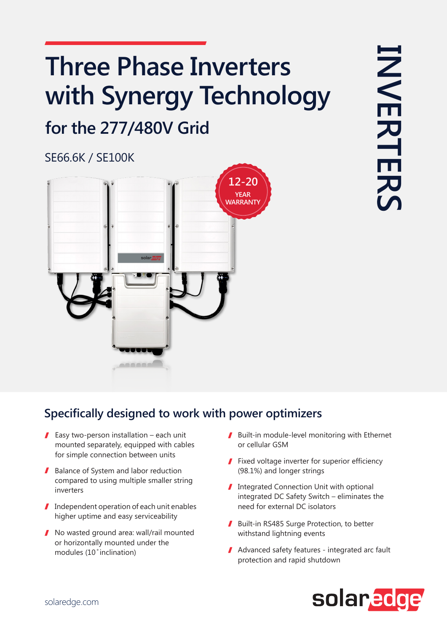# **Three Phase Inverters** with Synergy Technology

## for the 277/480V Grid

#### **SE66.6K / SE100K**



#### **Specifically designed to work with power optimizers**

- Easy two-person installation each unit mounted separately, equipped with cables for simple connection between units
- Balance of System and labor reduction compared to using multiple smaller string inverters
- $\blacksquare$  Independent operation of each unit enables higher uptime and easy serviceability
- $\blacksquare$  No wasted ground area: wall/rail mounted or horizontally mounted under the modules (10° inclination)
- $\blacksquare$  Built-in module-level monitoring with Ethernet or cellular GSM
- $\blacksquare$  Fixed voltage inverter for superior efficiency (98.1%) and longer strings
- Integrated Connection Unit with optional integrated DC Safety Switch – eliminates the need for external DC isolators
- Built-in RS485 Surge Protection, to better withstand lightning events
- $\blacksquare$  Advanced safety features integrated arc fault protection and rapid shutdown